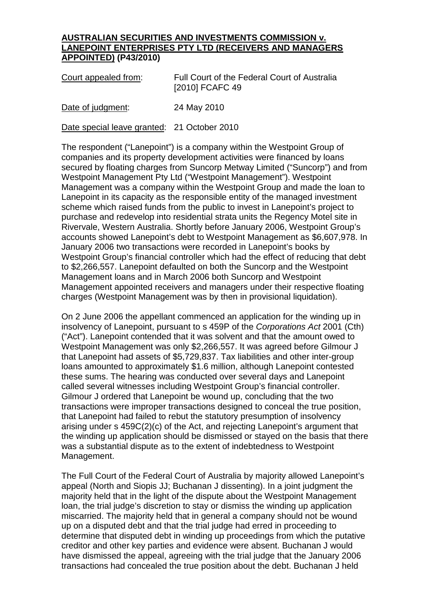## **AUSTRALIAN SECURITIES AND INVESTMENTS COMMISSION v. LANEPOINT ENTERPRISES PTY LTD (RECEIVERS AND MANAGERS APPOINTED) (P43/2010)**

| Court appealed from: | Full Court of the Federal Court of Australia |
|----------------------|----------------------------------------------|
|                      | [2010] FCAFC 49                              |

Date of judgment: 24 May 2010

Date special leave granted: 21 October 2010

The respondent ("Lanepoint") is a company within the Westpoint Group of companies and its property development activities were financed by loans secured by floating charges from Suncorp Metway Limited ("Suncorp") and from Westpoint Management Pty Ltd ("Westpoint Management"). Westpoint Management was a company within the Westpoint Group and made the loan to Lanepoint in its capacity as the responsible entity of the managed investment scheme which raised funds from the public to invest in Lanepoint's project to purchase and redevelop into residential strata units the Regency Motel site in Rivervale, Western Australia. Shortly before January 2006, Westpoint Group's accounts showed Lanepoint's debt to Westpoint Management as \$6,607,978. In January 2006 two transactions were recorded in Lanepoint's books by Westpoint Group's financial controller which had the effect of reducing that debt to \$2,266,557. Lanepoint defaulted on both the Suncorp and the Westpoint Management loans and in March 2006 both Suncorp and Westpoint Management appointed receivers and managers under their respective floating charges (Westpoint Management was by then in provisional liquidation).

On 2 June 2006 the appellant commenced an application for the winding up in insolvency of Lanepoint, pursuant to s 459P of the *Corporations Act* 2001 (Cth) ("Act"). Lanepoint contended that it was solvent and that the amount owed to Westpoint Management was only \$2,266,557. It was agreed before Gilmour J that Lanepoint had assets of \$5,729,837. Tax liabilities and other inter-group loans amounted to approximately \$1.6 million, although Lanepoint contested these sums. The hearing was conducted over several days and Lanepoint called several witnesses including Westpoint Group's financial controller. Gilmour J ordered that Lanepoint be wound up, concluding that the two transactions were improper transactions designed to conceal the true position, that Lanepoint had failed to rebut the statutory presumption of insolvency arising under s 459C(2)(c) of the Act, and rejecting Lanepoint's argument that the winding up application should be dismissed or stayed on the basis that there was a substantial dispute as to the extent of indebtedness to Westpoint Management.

The Full Court of the Federal Court of Australia by majority allowed Lanepoint's appeal (North and Siopis JJ; Buchanan J dissenting). In a joint judgment the majority held that in the light of the dispute about the Westpoint Management loan, the trial judge's discretion to stay or dismiss the winding up application miscarried. The majority held that in general a company should not be wound up on a disputed debt and that the trial judge had erred in proceeding to determine that disputed debt in winding up proceedings from which the putative creditor and other key parties and evidence were absent. Buchanan J would have dismissed the appeal, agreeing with the trial judge that the January 2006 transactions had concealed the true position about the debt. Buchanan J held